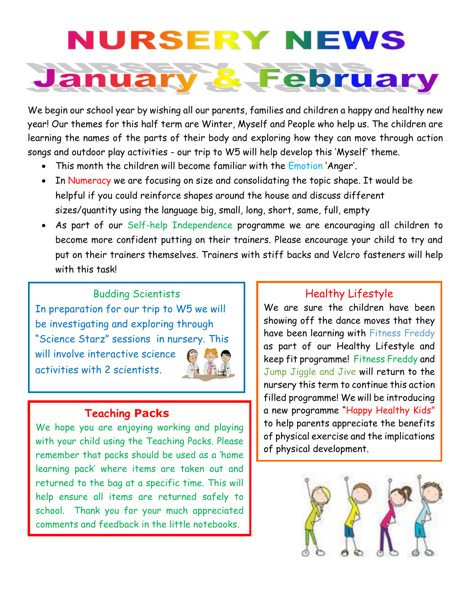# **IRSERY NEWS**



We begin our school year by wishing all our parents, families and children a happy and healthy new year! Our themes for this half term are Winter, Myself and People who help us. The children are learning the names of the parts of their body and exploring how they can move through action songs and outdoor play activities - our trip to W5 will help develop this 'Myself' theme.

- This month the children will become familiar with the Emotion 'Anger'.
- In Numeracy we are focusing on size and consolidating the topic shape. It would be helpful if you could reinforce shapes around the house and discuss different sizes/quantity using the language big, small, long, short, same, full, empty
- As part of our Self-help Independence programme we are encouraging all children to become more confident putting on their trainers. Please encourage your child to try and put on their trainers themselves. Trainers with stiff backs and Velcro fasteners will help with this task!

Budding Scientists In preparation for our trip to W5 we will be investigating and exploring through "Science Starz" sessions in nursery. This will involve interactive science activities with 2 scientists.

### **Teaching Packs**

We hope you are enjoying working and playing with your child using the Teaching Packs. Please remember that packs should be used as a 'home learning pack' where items are taken out and returned to the bag at a specific time. This will help ensure all items are returned safely to school. Thank you for your much appreciated comments and feedback in the little notebooks.

#### Healthy Lifestyle

We are sure the children have been showing off the dance moves that they have been learning with Fitness Freddy as part of our Healthy Lifestyle and keep fit programme! Fitness Freddy and Jump Jiggle and Jive will return to the nursery this term to continue this action filled programme! We will be introducing a new programme "Happy Healthy Kids" to help parents appreciate the benefits of physical exercise and the implications of physical development.